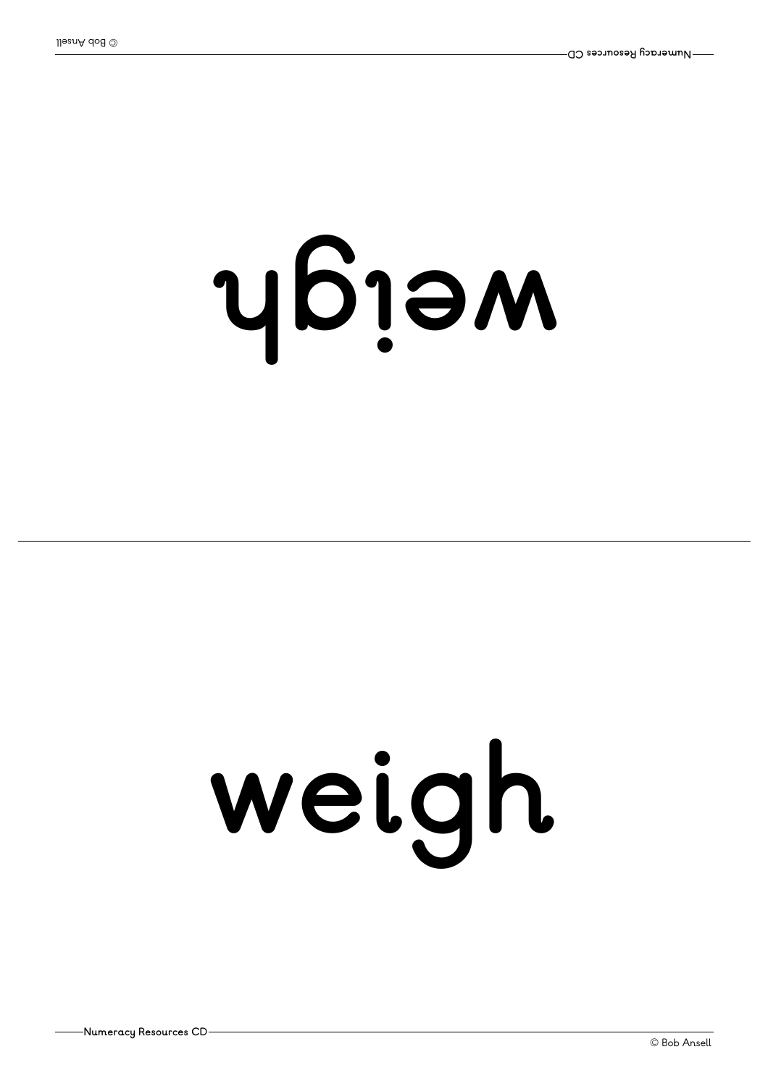## **<sup>h</sup>gi ew**

## **weigh**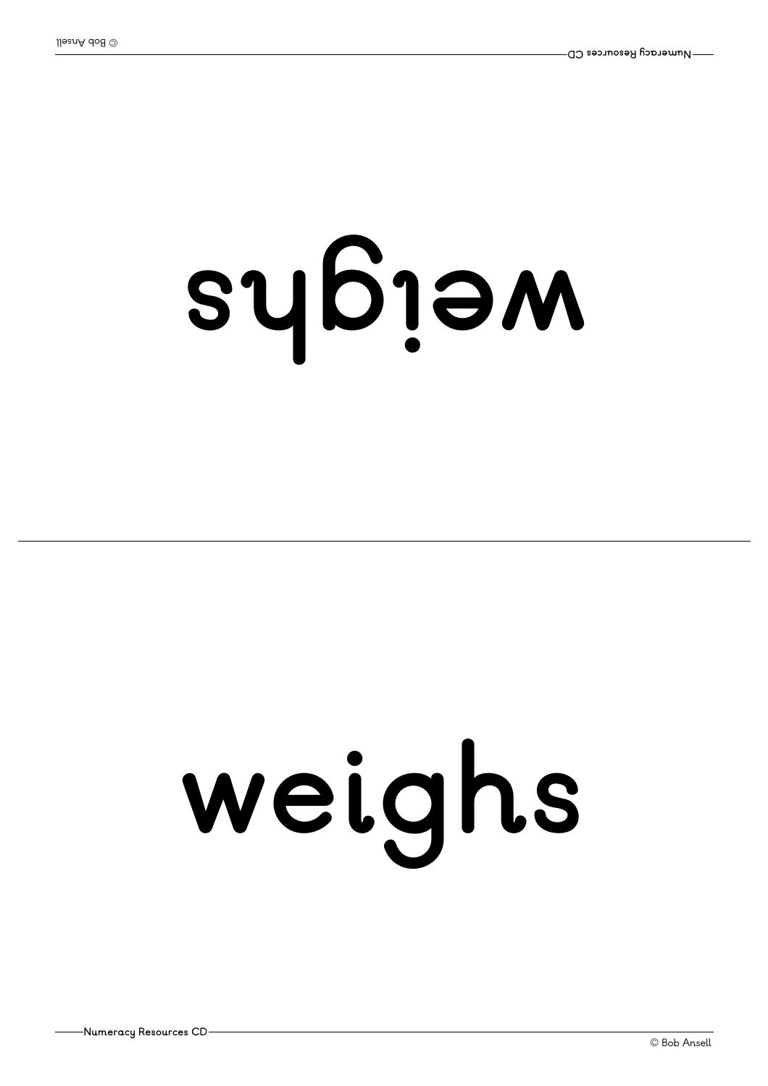## **<sup>s</sup> <sup>h</sup>gi ew**

# **weighs**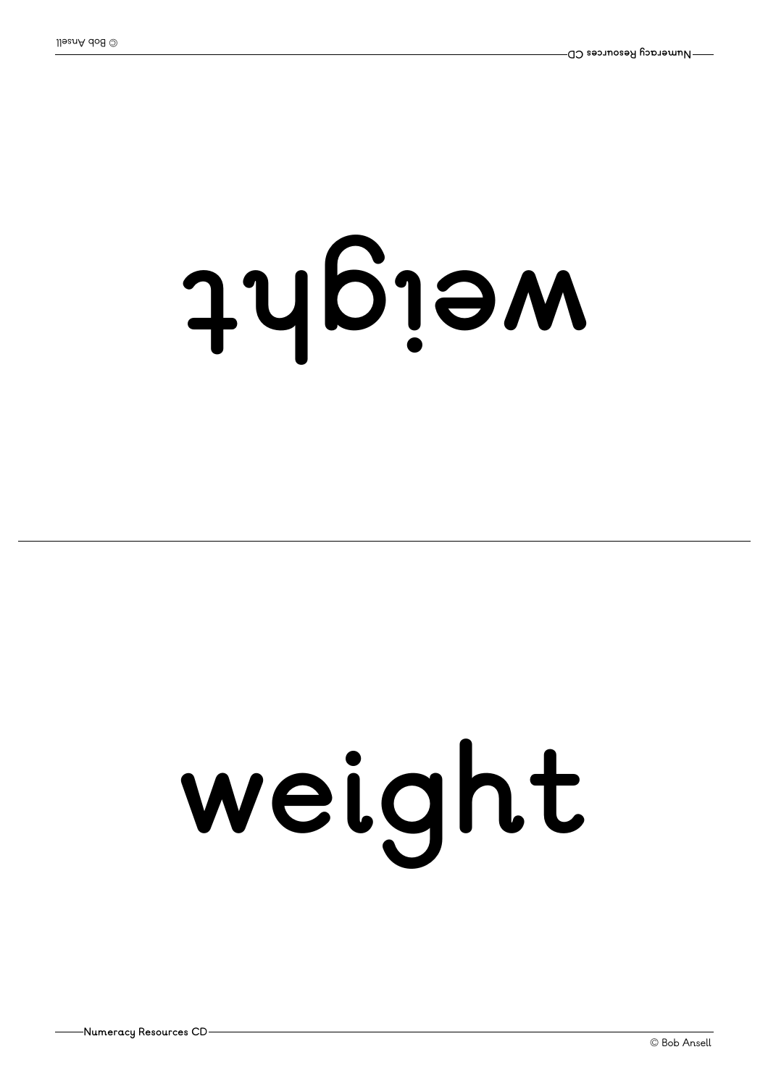## **thgi ew**

# **weight**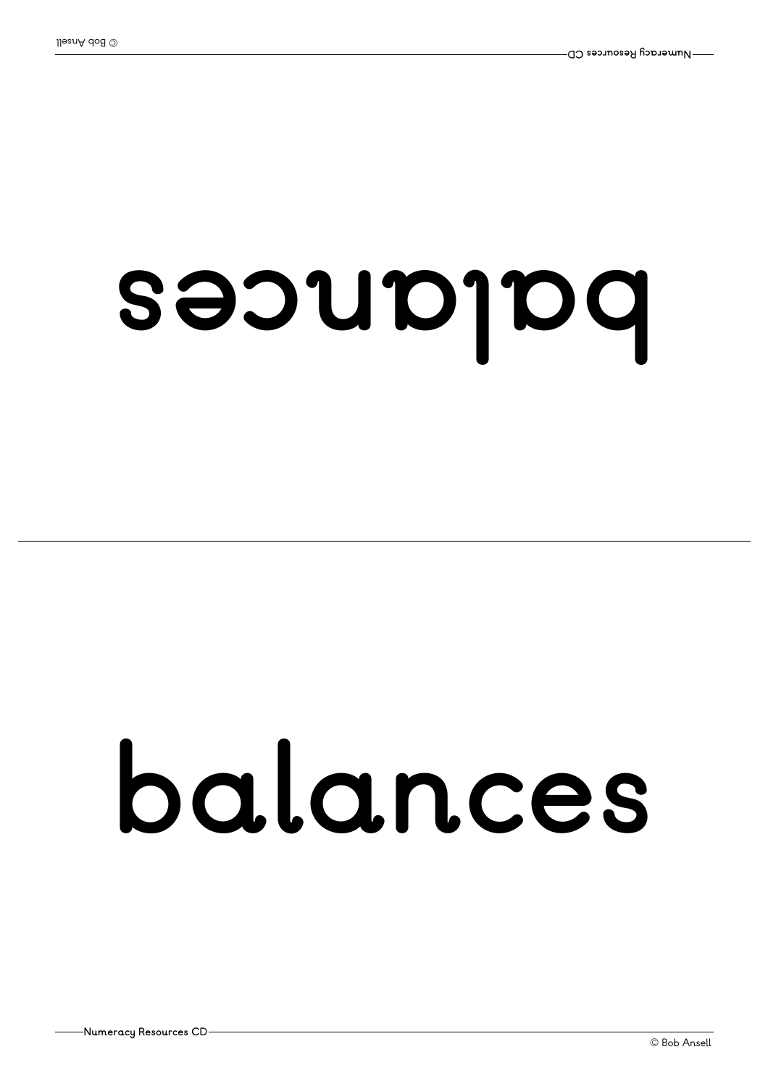## **secnal ab**

## **balances**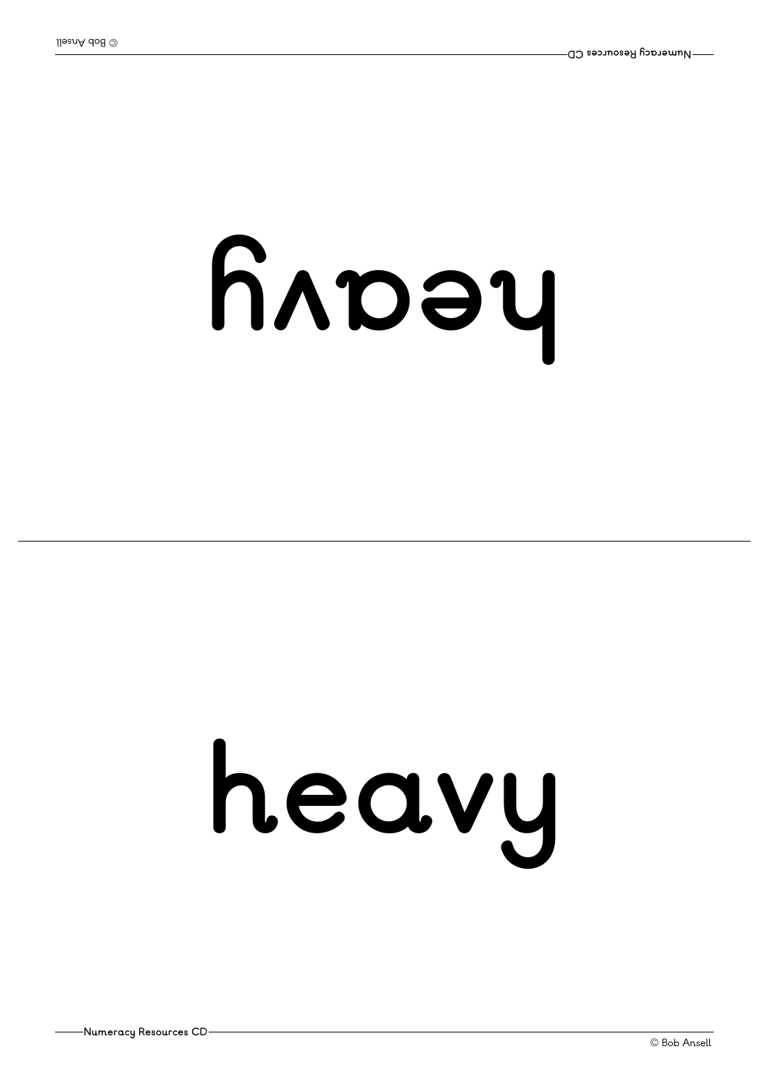## **yv aeh**

# **heavy**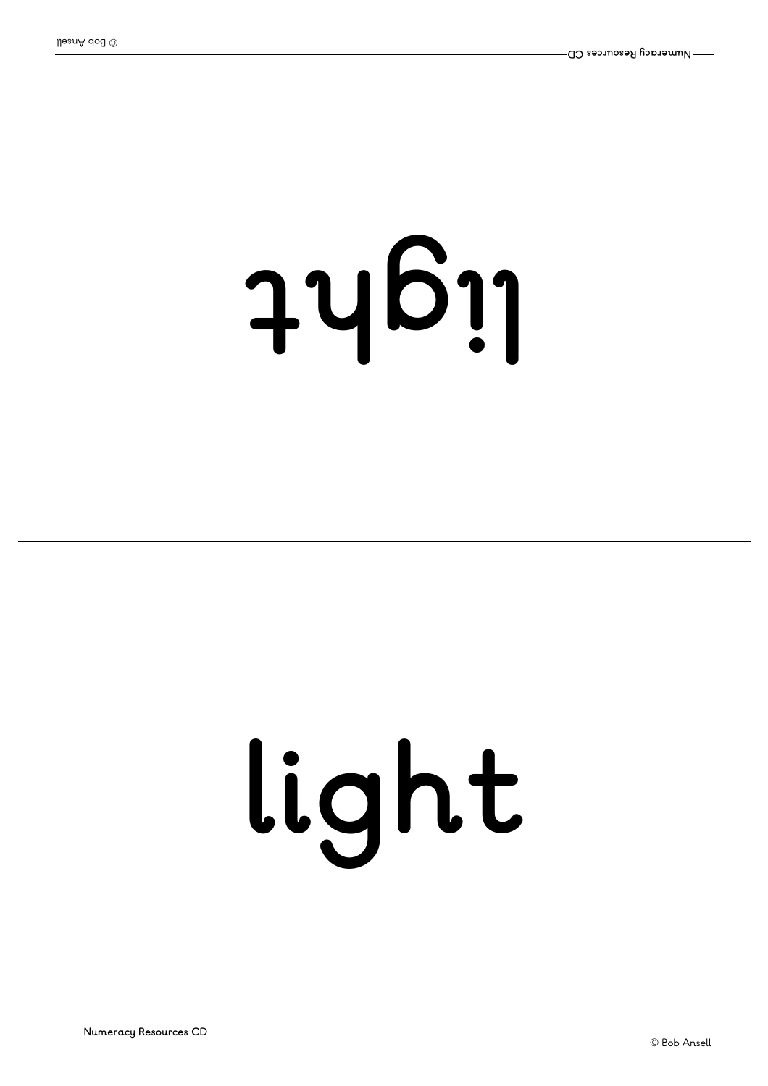# **thgil**

# **light**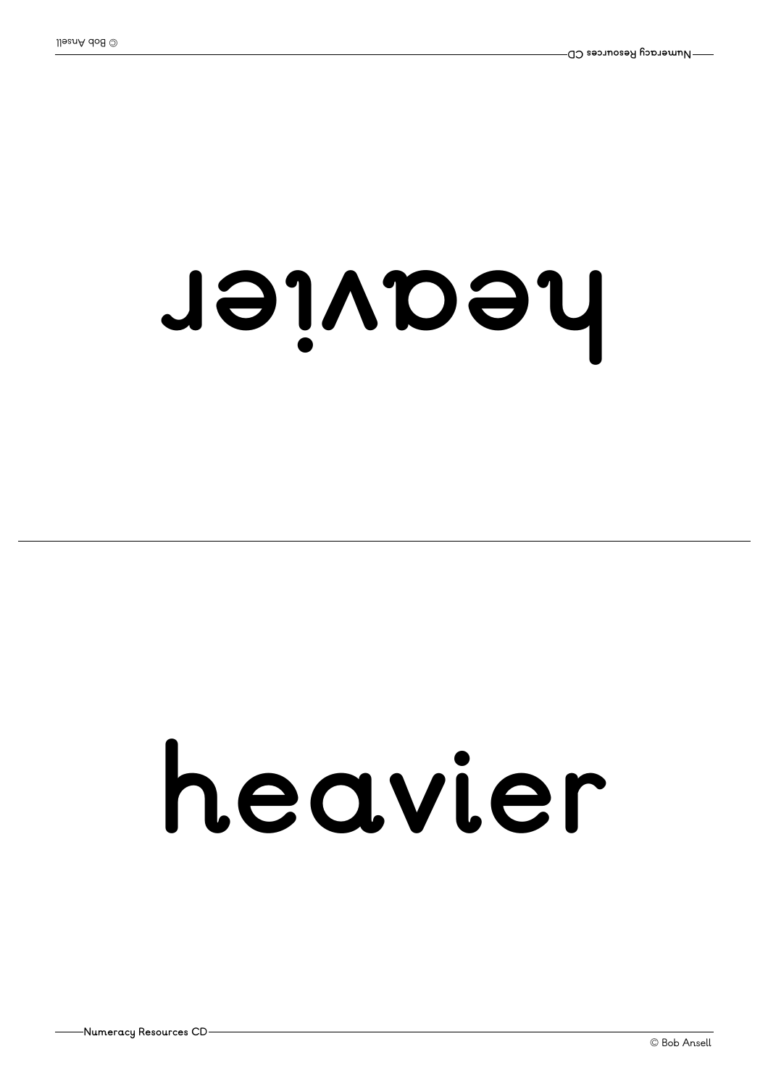#### **<sup>r</sup> ei <sup>v</sup> aeh**

### **heavier**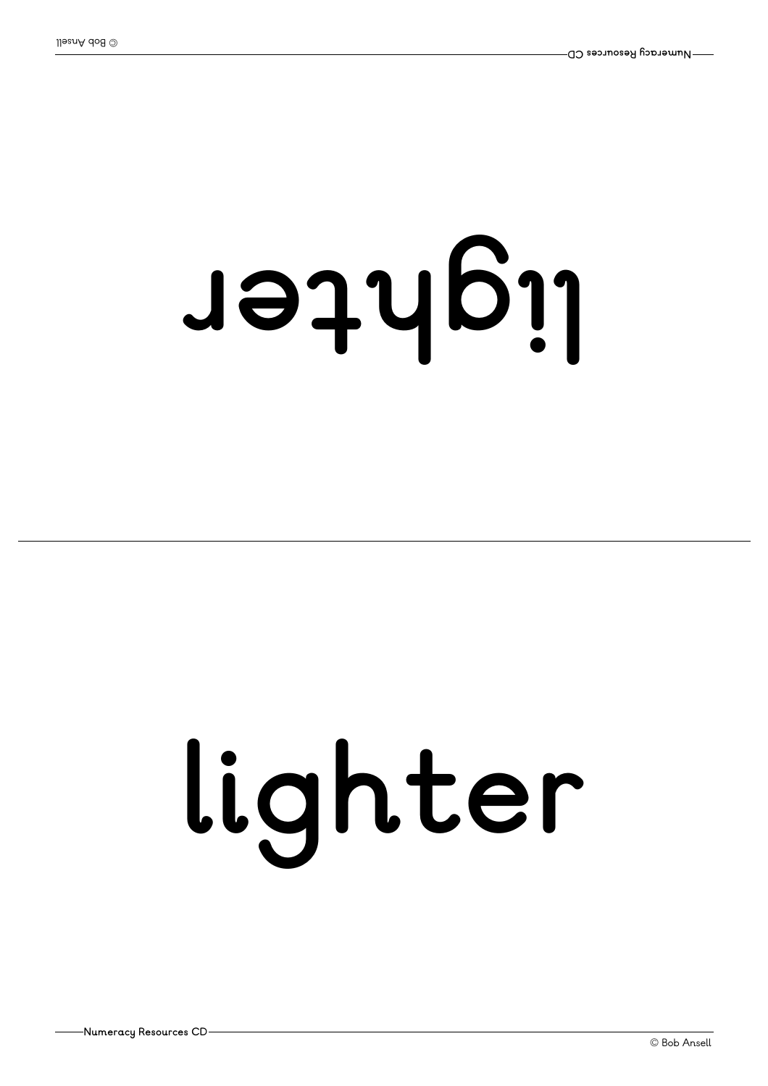# **<sup>r</sup> ethgil**

# **lighter**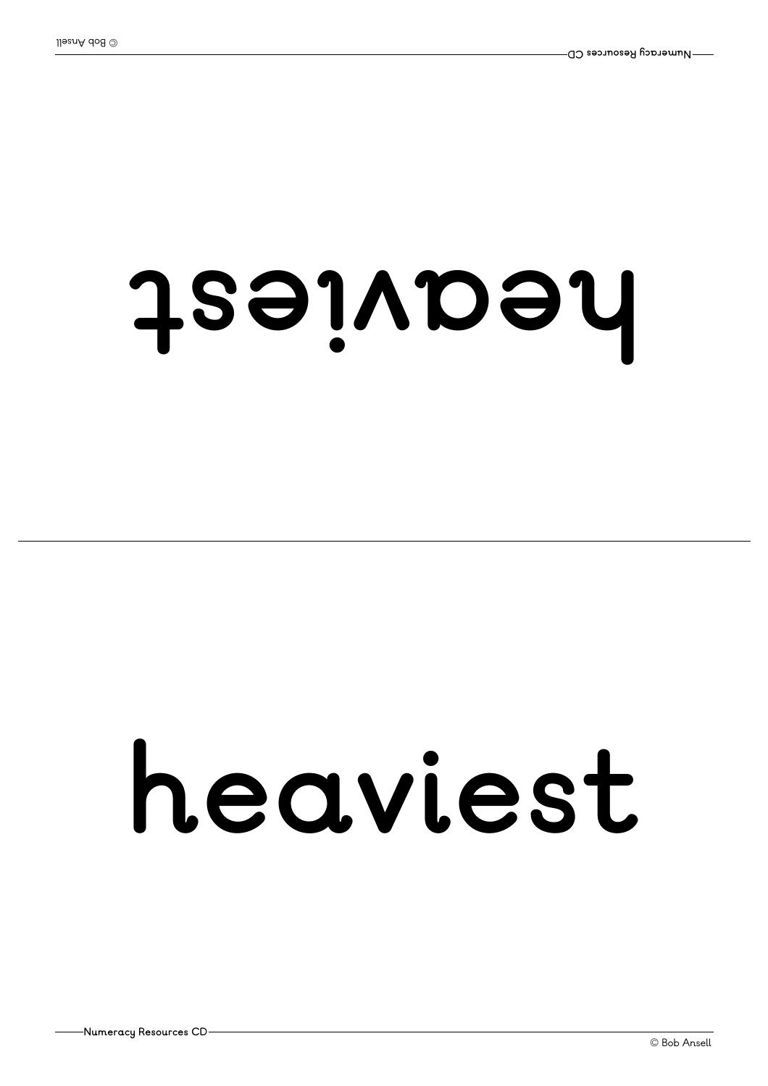#### **tsei <sup>v</sup> aeh**

### **heaviest**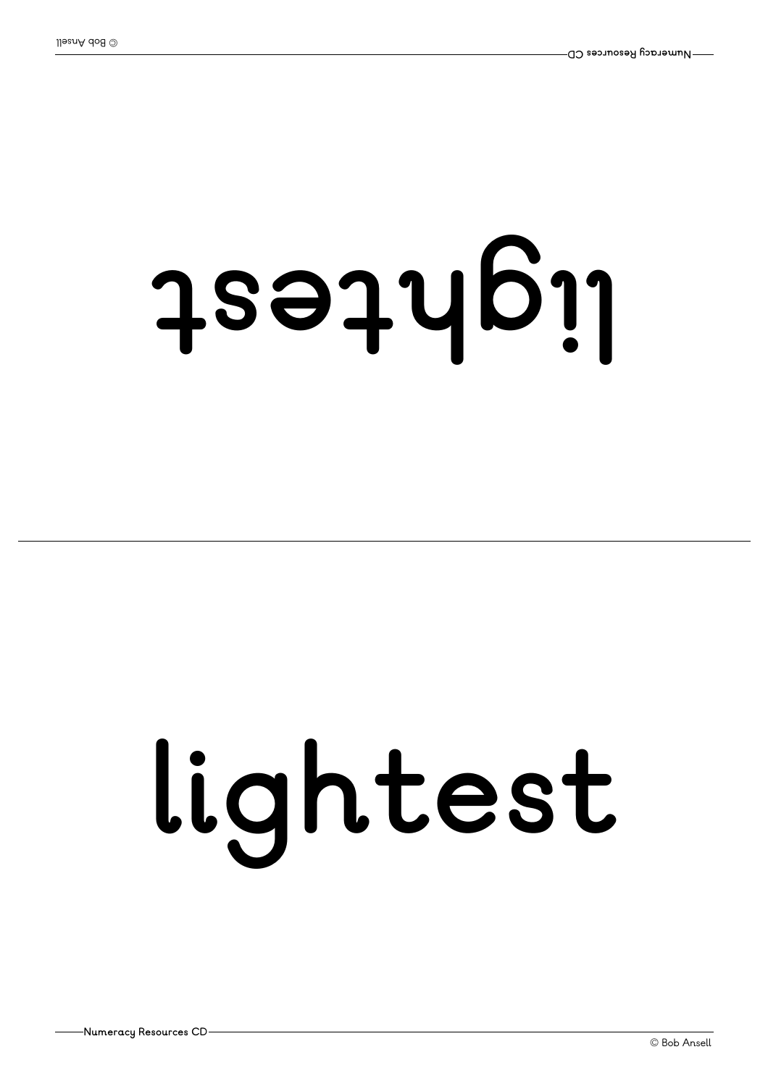# **tsethgil**

# **lightest**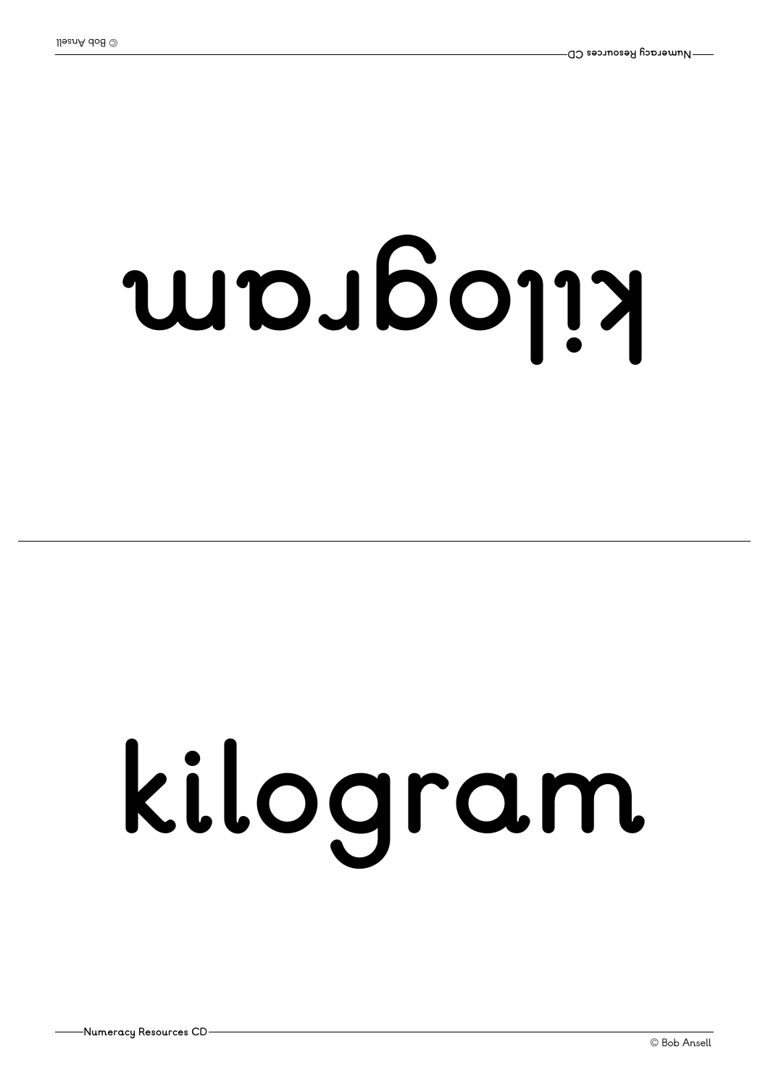# **mar goli <sup>k</sup>**

# **kilogram**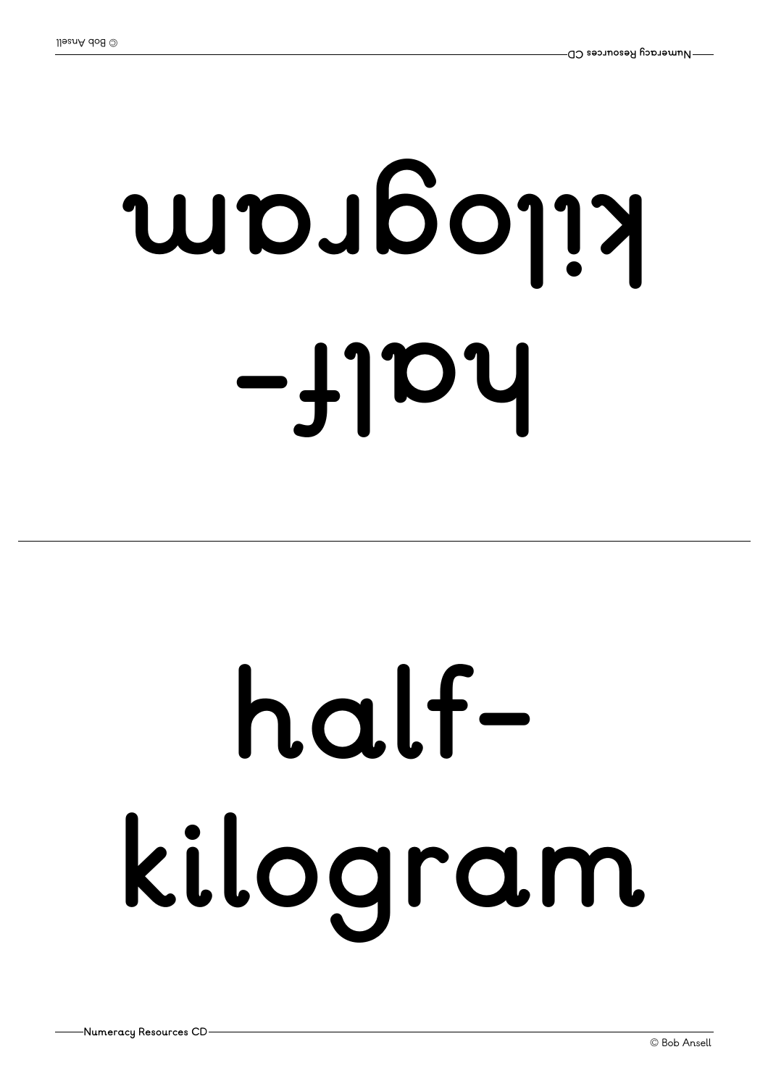# **-fl ah mar goli <sup>k</sup>**

## **halfkilogram**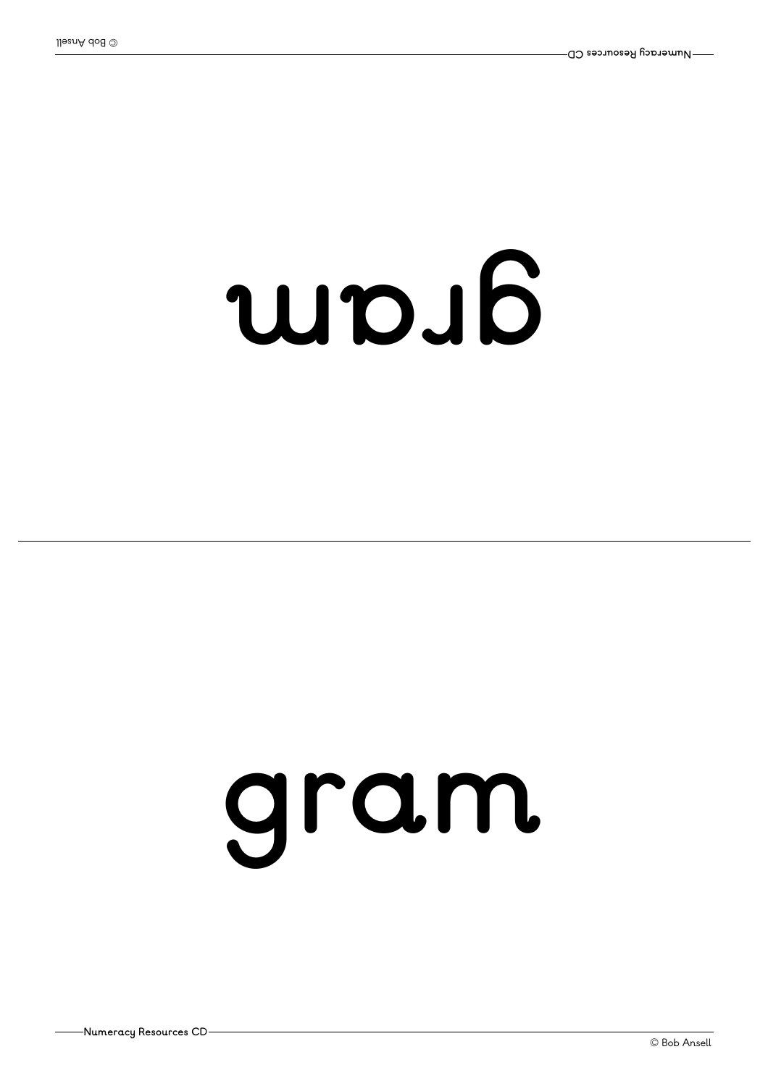### **mar g**

### **gram**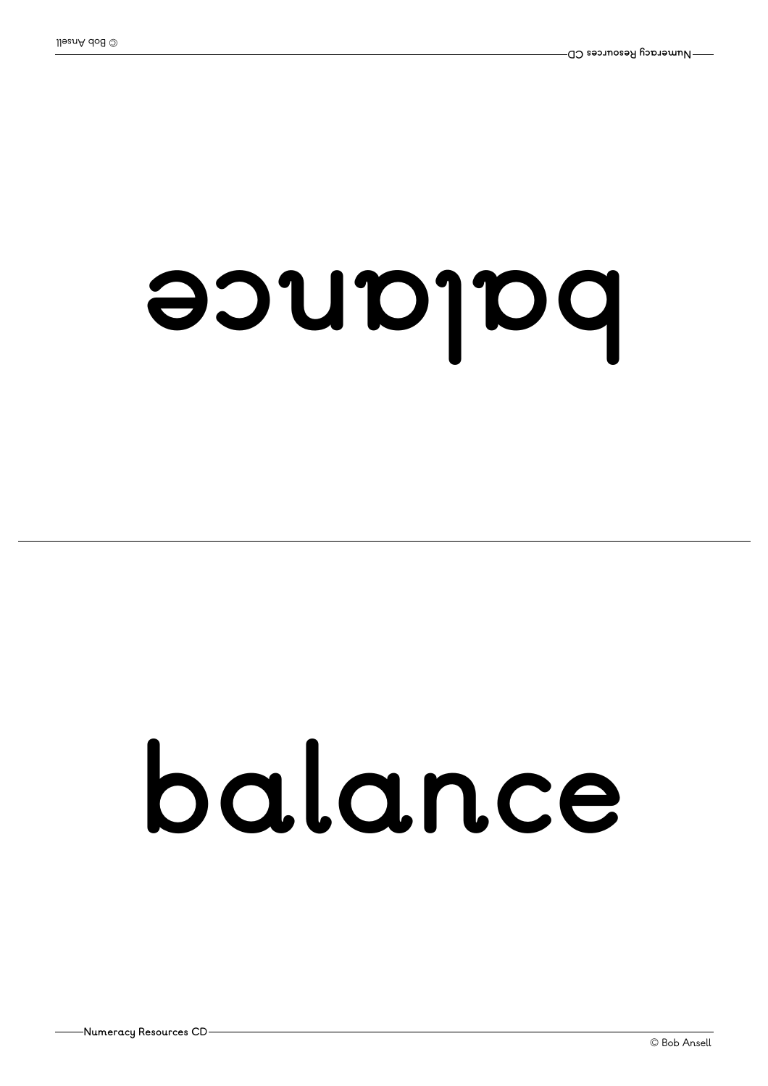## **ecnal ab**

## **balance**